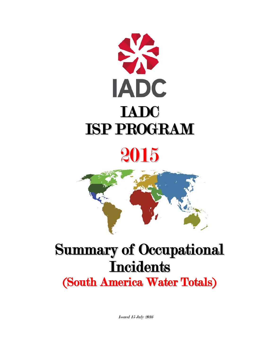

# 2015



# Summary of Occupational **Incidents**

(South America Water Totals)

Issued 15 July 2016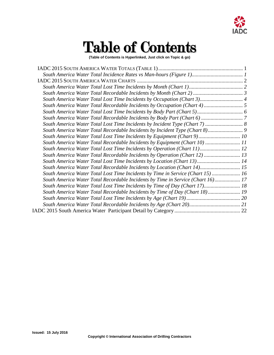

## Table of Contents

**(Table of Contents is Hyperlinked, Just click on Topic & go)**

| South America Water Total Lost Time Incidents by Incident Type (Chart 7)  8     |  |
|---------------------------------------------------------------------------------|--|
| South America Water Total Recordable Incidents by Incident Type (Chart 8) 9     |  |
| South America Water Total Lost Time Incidents by Equipment (Chart 9) 10         |  |
| South America Water Total Recordable Incidents by Equipment (Chart 10)  11      |  |
| South America Water Total Lost Time Incidents by Operation (Chart 11) 12        |  |
| South America Water Total Recordable Incidents by Operation (Chart 12)  13      |  |
| South America Water Total Lost Time Incidents by Location (Chart 13) 14         |  |
| South America Water Total Recordable Incidents by Location (Chart 14) 15        |  |
| South America Water Total Lost Time Incidents by Time in Service (Chart 15)  16 |  |
| South America Water Total Recordable Incidents by Time in Service (Chart 16) 17 |  |
| South America Water Total Lost Time Incidents by Time of Day (Chart 17) 18      |  |
| South America Water Total Recordable Incidents by Time of Day (Chart 18) 19     |  |
|                                                                                 |  |
|                                                                                 |  |
|                                                                                 |  |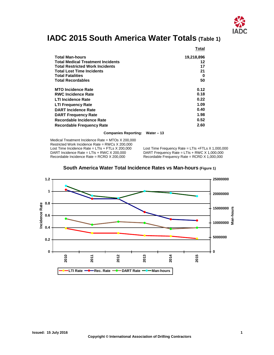

### <span id="page-2-0"></span>**IADC 2015 South America Water Totals (Table 1)**

|                                          | Total      |
|------------------------------------------|------------|
| Total Man-hours                          | 19,218,896 |
| <b>Total Medical Treatment Incidents</b> | 12         |
| <b>Total Restricted Work Incidents</b>   | 17         |
| <b>Total Lost Time Incidents</b>         | 21         |
| Total Fatalities                         | 0          |
| <b>Total Recordables</b>                 | 50         |
| <b>MTO Incidence Rate</b>                | 0.12       |
| <b>RWC Incidence Rate</b>                | 0.18       |
| <b>LTI Incidence Rate</b>                | 0.22       |
| <b>LTI Frequency Rate</b>                | 1.09       |
| <b>DART Incidence Rate</b>               | 0.40       |
| <b>DART Frequency Rate</b>               | 1.98       |
| Recordable Incidence Rate                | 0.52       |
| Recordable Frequency Rate                | 2.60       |

**Companies Reporting: Water – 13**

Medical Treatment Incidence Rate = MTOs X 200,000 Restricted Work Incidence Rate = RWCs X 200,000<br>Lost Time Incidence Rate = LTIs + FTLs X 200,000 Lost Time Incidence Rate = LTIs + FTLs X 200,000 Lost Time Frequency Rate = LTIs + FTLs X 1,000,000<br>DART Incidence Rate = LTIs + RWC X 200,000 DART Frequency Rate = LTIs + RWC X 1,000,000 DART Incidence Rate = LTIs + RWC X 200,000 DART Frequency Rate = LTIs + RWC X 1,000,000<br>Recordable Incidence Rate = RCRD X 200,000 Recordable Frequency Rate = RCRD X 1,000,000

Recordable Frequency Rate = RCRD  $X$  1,000,000

<span id="page-2-1"></span>

**South America Water Total Incidence Rates vs Man-hours (Figure 1)**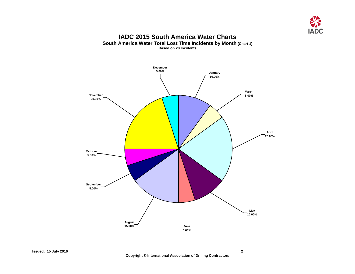

#### **IADC 2015 South America Water Charts South America Water Total Lost Time Incidents by Month (Chart 1) Based on 20 Incidents**

<span id="page-3-1"></span><span id="page-3-0"></span>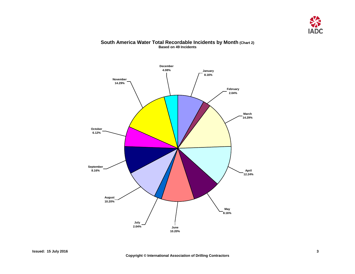

#### **South America Water Total Recordable Incidents by Month (Chart 2) Based on 49 Incidents**

<span id="page-4-0"></span>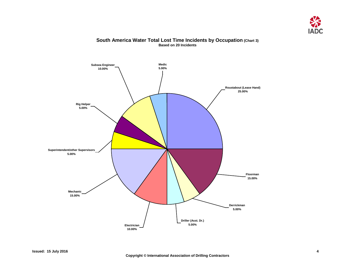

#### **South America Water Total Lost Time Incidents by Occupation (Chart 3) Based on 20 Incidents**

<span id="page-5-0"></span>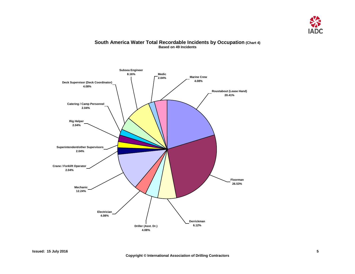

#### <span id="page-6-0"></span>**Catering / Camp Personnel 2.04% Crane / Forklift Operator 2.04% Mechanic 12.24% Electrician 4.08% Driller (Asst. Dr.) 4.08% Floorman 26.53% Derrickman 6.12% Subsea Engineer 8.16% Marine Crew 4.08% Roustabout (Lease Hand) 20.41% Superintendent/other Supervisors 2.04% Rig Helper 2.04% Deck Supervisor (Deck Coordinator) 4.08% Medic 2.04%**

#### **South America Water Total Recordable Incidents by Occupation (Chart 4) Based on 49 Incidents**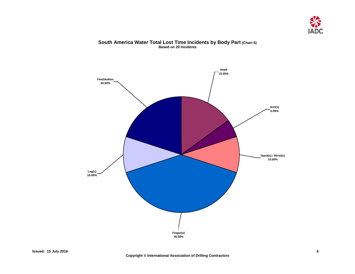

#### **South America Water Total Lost Time Incidents by Body Part (Chart 5) Based on 20 Incidents**

<span id="page-7-0"></span>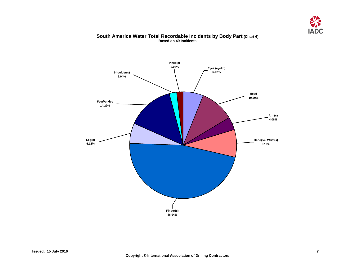

#### **South America Water Total Recordable Incidents by Body Part (Chart 6) Based on 49 Incidents**

<span id="page-8-0"></span>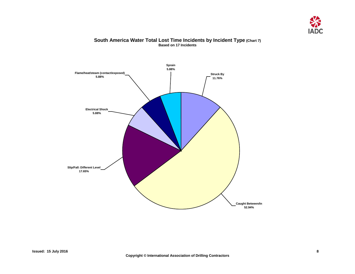

#### **South America Water Total Lost Time Incidents by Incident Type (Chart 7) Based on 17 Incidents**

<span id="page-9-0"></span>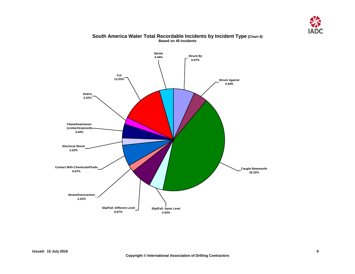

<span id="page-10-0"></span>

#### **South America Water Total Recordable Incidents by Incident Type (Chart 8) Based on 45 Incidents**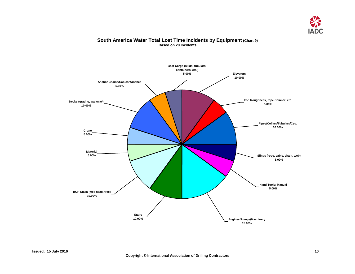

#### <span id="page-11-0"></span>**Boat Cargo (skids, tubulars, containers, etc.) 5.00% Anchor Chains/Cables/Winches 5.00% Material 5.00% Stairs 10.00% Engines/Pumps/Machinery 15.00% Hand Tools: Manual 5.00% Pipes/Collars/Tubulars/Csg. 10.00% Elevators 10.00% Iron Roughneck, Pipe Spinner, etc. 5.00% Crane 5.00% BOP Stack (well head, tree) 10.00% Decks (grating, walkway) 10.00% Slings (rope, cable, chain, web) 5.00%**

#### **South America Water Total Lost Time Incidents by Equipment (Chart 9) Based on 20 Incidents**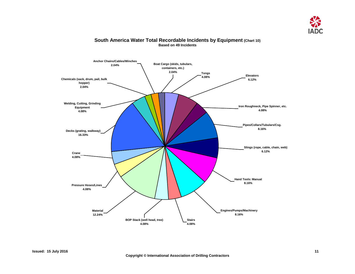

<span id="page-12-0"></span>

#### **South America Water Total Recordable Incidents by Equipment (Chart 10) Based on 49 Incidents**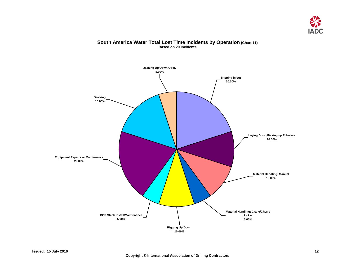

#### **South America Water Total Lost Time Incidents by Operation (Chart 11) Based on 20 Incidents**

<span id="page-13-0"></span>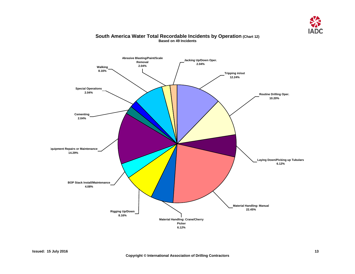

<span id="page-14-0"></span>

#### **South America Water Total Recordable Incidents by Operation (Chart 12) Based on 49 Incidents**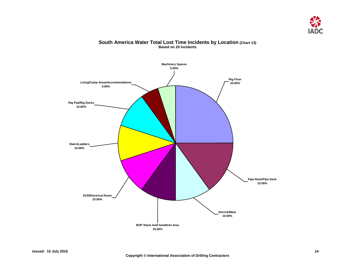

### <span id="page-15-0"></span>**Derrick/Mast 10.00% Pipe Rack/Pipe Deck 15.00% Rig Floor 25.00% Machinery Spaces 5.00% Living/Camp Areas/Accommodations 5.00% SCR/Electrical Room 10.00% Stairs/Ladders 10.00% Rig Pad/Rig Decks 10.00% BOP Stack /well head/tree Area 10.00%**

#### **South America Water Total Lost Time Incidents by Location (Chart 13) Based on 20 Incidents**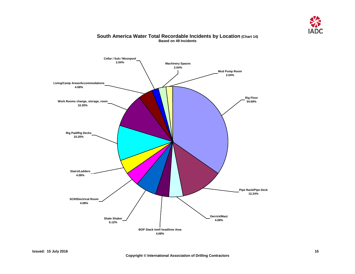

<span id="page-16-0"></span>

#### **South America Water Total Recordable Incidents by Location (Chart 14) Based on 49 Incidents**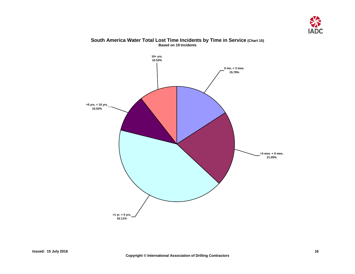

<span id="page-17-0"></span>

#### **South America Water Total Lost Time Incidents by Time in Service (Chart 15) Based on 19 Incidents**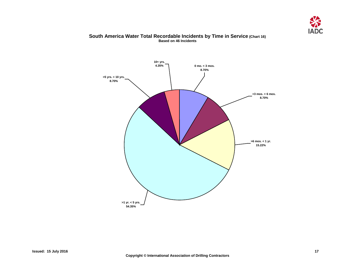

#### **South America Water Total Recordable Incidents by Time in Service (Chart 16) Based on 46 Incidents**

<span id="page-18-0"></span>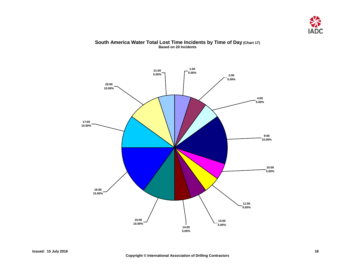

#### <span id="page-19-0"></span>**11:00 5.00% 10:00 5.00% 4:00 5.00% 2:00 5.00% 21:00 5.00% 17:00 10.00% 16:00 15.00% 15:00 10.00% 13:00 5.00% 1:00 5.00% 9:00 15.00% 14:00 5.00% 20:00 10.00%**

#### **South America Water Total Lost Time Incidents by Time of Day (Chart 17) Based on 20 Incidents**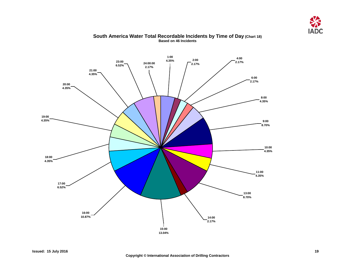

<span id="page-20-0"></span>

#### **South America Water Total Recordable Incidents by Time of Day (Chart 18) Based on 46 Incidents**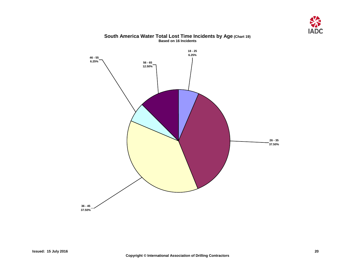

#### **South America Water Total Lost Time Incidents by Age (Chart 19) Based on 16 Incidents**